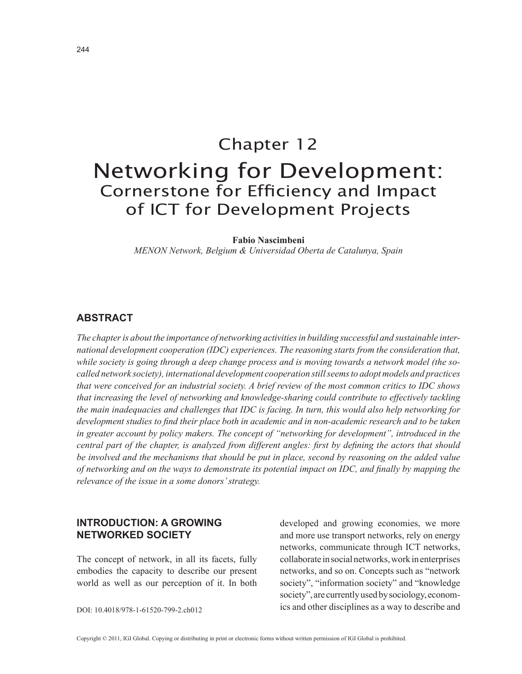# Chapter 12 Networking for Development: Cornerstone for Efficiency and Impact of ICT for Development Projects

**Fabio Nascimbeni**

*MENON Network, Belgium & Universidad Oberta de Catalunya, Spain*

# **ABSTRAcT**

*The chapter is about the importance of networking activities in building successful and sustainable international development cooperation (IDC) experiences. The reasoning starts from the consideration that, while society is going through a deep change process and is moving towards a network model (the socalled network society), international development cooperation still seems to adopt models and practices that were conceived for an industrial society. A brief review of the most common critics to IDC shows that increasing the level of networking and knowledge-sharing could contribute to effectively tackling the main inadequacies and challenges that IDC is facing. In turn, this would also help networking for development studies to find their place both in academic and in non-academic research and to be taken in greater account by policy makers. The concept of "networking for development", introduced in the central part of the chapter, is analyzed from different angles: first by defining the actors that should be involved and the mechanisms that should be put in place, second by reasoning on the added value of networking and on the ways to demonstrate its potential impact on IDC, and finally by mapping the relevance of the issue in a some donors' strategy.*

# **INTRODUcTION: A GROWING NETWORKED SOcIETy**

The concept of network, in all its facets, fully embodies the capacity to describe our present world as well as our perception of it. In both developed and growing economies, we more and more use transport networks, rely on energy networks, communicate through ICT networks, collaborate in social networks, work in enterprises networks, and so on. Concepts such as "network society", "information society" and "knowledge society", are currently used by sociology, economics and other disciplines as a way to describe and

DOI: 10.4018/978-1-61520-799-2.ch012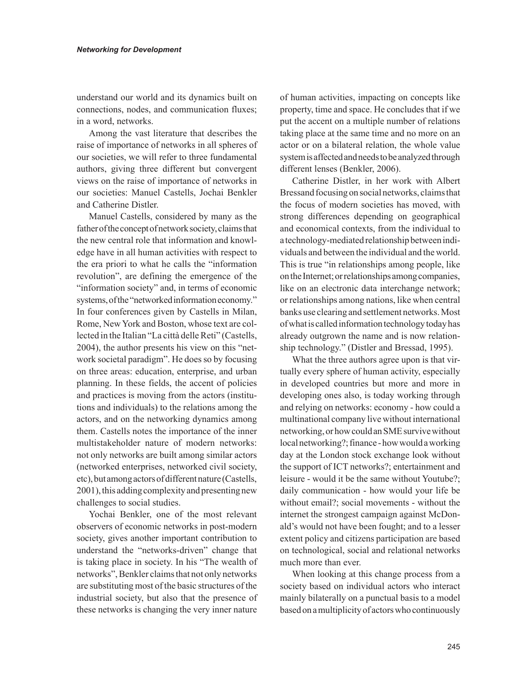understand our world and its dynamics built on connections, nodes, and communication fluxes; in a word, networks.

Among the vast literature that describes the raise of importance of networks in all spheres of our societies, we will refer to three fundamental authors, giving three different but convergent views on the raise of importance of networks in our societies: Manuel Castells, Jochai Benkler and Catherine Distler.

Manuel Castells, considered by many as the father of the concept of network society, claims that the new central role that information and knowledge have in all human activities with respect to the era priori to what he calls the "information revolution", are defining the emergence of the "information society" and, in terms of economic systems, of the "networked information economy." In four conferences given by Castells in Milan, Rome, New York and Boston, whose text are collected in the Italian "La città delle Reti" (Castells, 2004), the author presents his view on this "network societal paradigm". He does so by focusing on three areas: education, enterprise, and urban planning. In these fields, the accent of policies and practices is moving from the actors (institutions and individuals) to the relations among the actors, and on the networking dynamics among them. Castells notes the importance of the inner multistakeholder nature of modern networks: not only networks are built among similar actors (networked enterprises, networked civil society, etc), but among actors of different nature (Castells, 2001), this adding complexity and presenting new challenges to social studies.

Yochai Benkler, one of the most relevant observers of economic networks in post-modern society, gives another important contribution to understand the "networks-driven" change that is taking place in society. In his "The wealth of networks", Benkler claims that not only networks are substituting most of the basic structures of the industrial society, but also that the presence of these networks is changing the very inner nature

of human activities, impacting on concepts like property, time and space. He concludes that if we put the accent on a multiple number of relations taking place at the same time and no more on an actor or on a bilateral relation, the whole value system is affected and needs to be analyzed through different lenses (Benkler, 2006).

Catherine Distler, in her work with Albert Bressand focusing on social networks, claims that the focus of modern societies has moved, with strong differences depending on geographical and economical contexts, from the individual to a technology-mediated relationship between individuals and between the individual and the world. This is true "in relationships among people, like on the Internet; or relationships among companies, like on an electronic data interchange network; or relationships among nations, like when central banks use clearing and settlement networks. Most of what is called information technology today has already outgrown the name and is now relationship technology." (Distler and Bressad, 1995).

What the three authors agree upon is that virtually every sphere of human activity, especially in developed countries but more and more in developing ones also, is today working through and relying on networks: economy - how could a multinational company live without international networking, or how could an SME survive without local networking?; finance - how would a working day at the London stock exchange look without the support of ICT networks?; entertainment and leisure - would it be the same without Youtube?; daily communication - how would your life be without email?; social movements - without the internet the strongest campaign against McDonald's would not have been fought; and to a lesser extent policy and citizens participation are based on technological, social and relational networks much more than ever.

When looking at this change process from a society based on individual actors who interact mainly bilaterally on a punctual basis to a model based on a multiplicity of actors who continuously